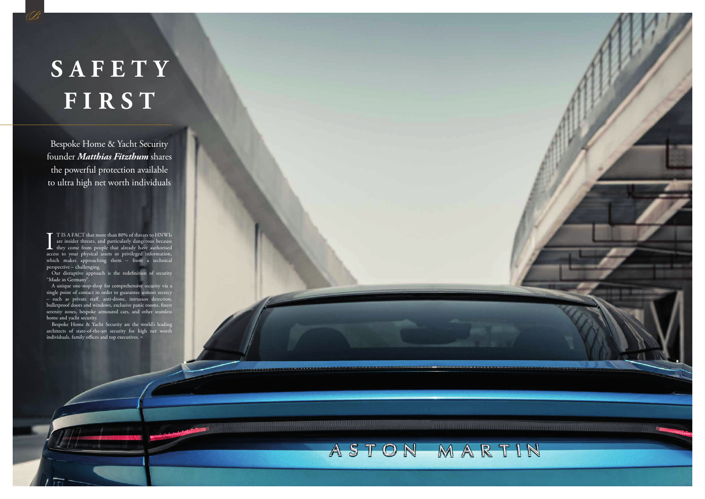

Bespoke Home & Yacht Security founder *Matthias Fitzthum* shares the powerful protection available to ultra high net worth individuals

## **S A F E T Y FIRST**

B

T IS A FACT that more than 80% of threats to HNWIs are insider threats, and particularly dangerous because they come from people that already have authorised access to your physical assets or privileged information, which makes approaching them - from a technical perspective – challenging.

Our disruptive approach is the redefinition of security "Made in Germany".

Bespoke Home & Yacht Security are the world's leading architects of state-of-the-art security for high net worth individuals, family offices and top executives. »

A unique one-stop-shop for comprehensive security via a single point of contact in order to guarantee utmost secrecy – such as private staff, anti-drone, intrusion detection, bulletproof doors and windows, exclusive panic rooms, finest serenity zones, bespoke armoured cars, and other seamless home and yacht security.